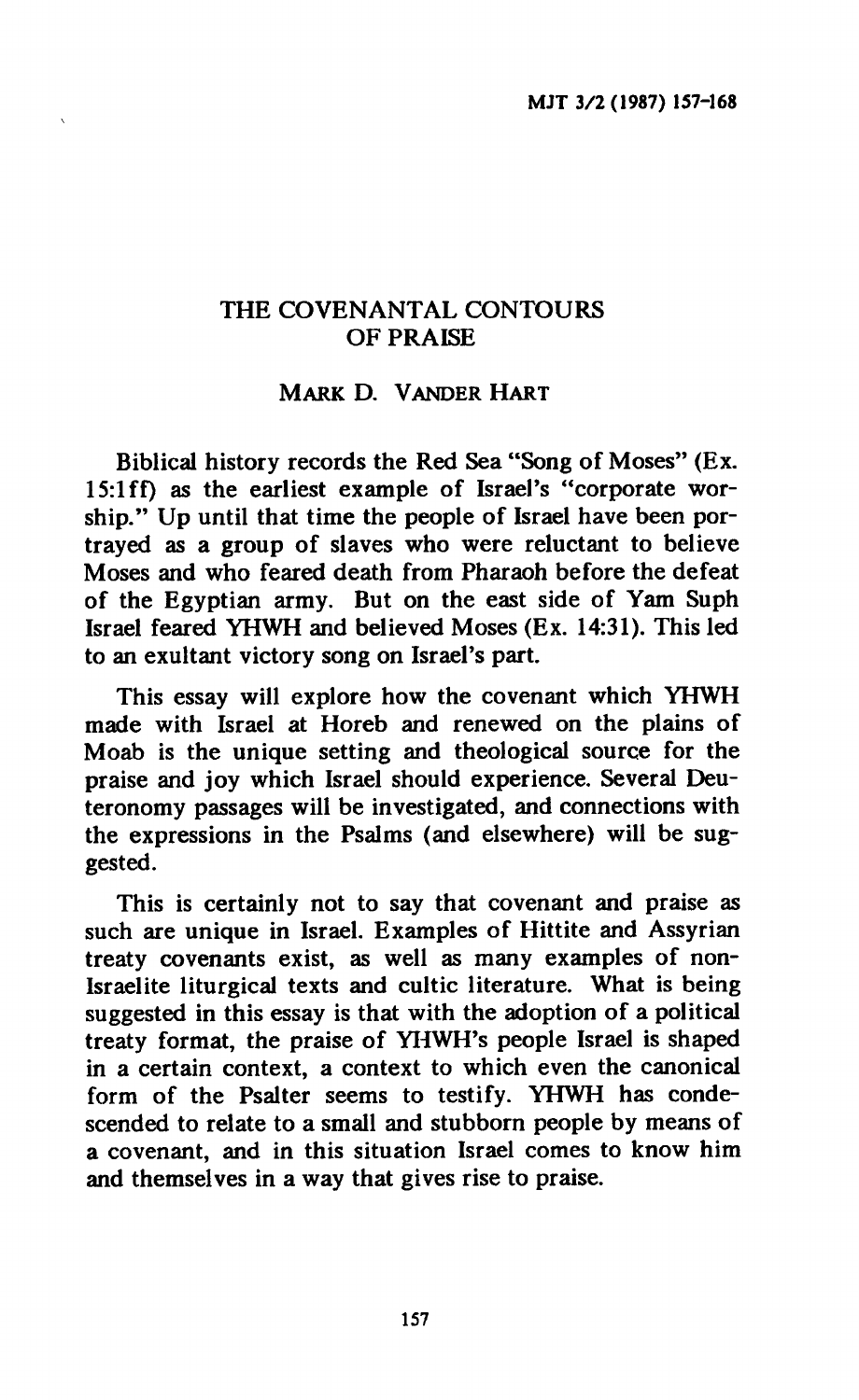# **THE COVENANTAL CONTOURS OF PRAISE**

## **MARK D. VANDER HART**

**Biblical history records the Red Sea "Song of Moses" (Ex. 15:lff) as the earliest example of Israel's "corporate worship." Up until that time the people of Israel have been portrayed as a group of slaves who were reluctant to believe Moses and who feared death from Pharaoh before the defeat of the Egyptian army. But on the east side of Yam Suph Israel feared YHWH and believed Moses (Ex. 14:31). This led to an exultant victory song on Israel's part.** 

**This essay will explore how the covenant which YHWH made with Israel at Horeb and renewed on the plains of Moab is the unique setting and theological source for the praise and joy which Israel should experience. Several Deuteronomy passages will be investigated, and connections with the expressions in the Psalms (and elsewhere) will be suggested.** 

**This is certainly not to say that covenant and praise as such are unique in Israel. Examples of Hittite and Assyrian treaty covenants exist, as well as many examples of non-Israelite liturgical texts and cultic literature. What is being suggested in this essay is that with the adoption of a political treaty format, the praise of YHWH's people Israel is shaped in a certain context, a context to which even the canonical form of the Psalter seems to testify. YHWH has condescended to relate to a small and stubborn people by means of a covenant, and in this situation Israel comes to know him and themselves in a way that gives rise to praise.**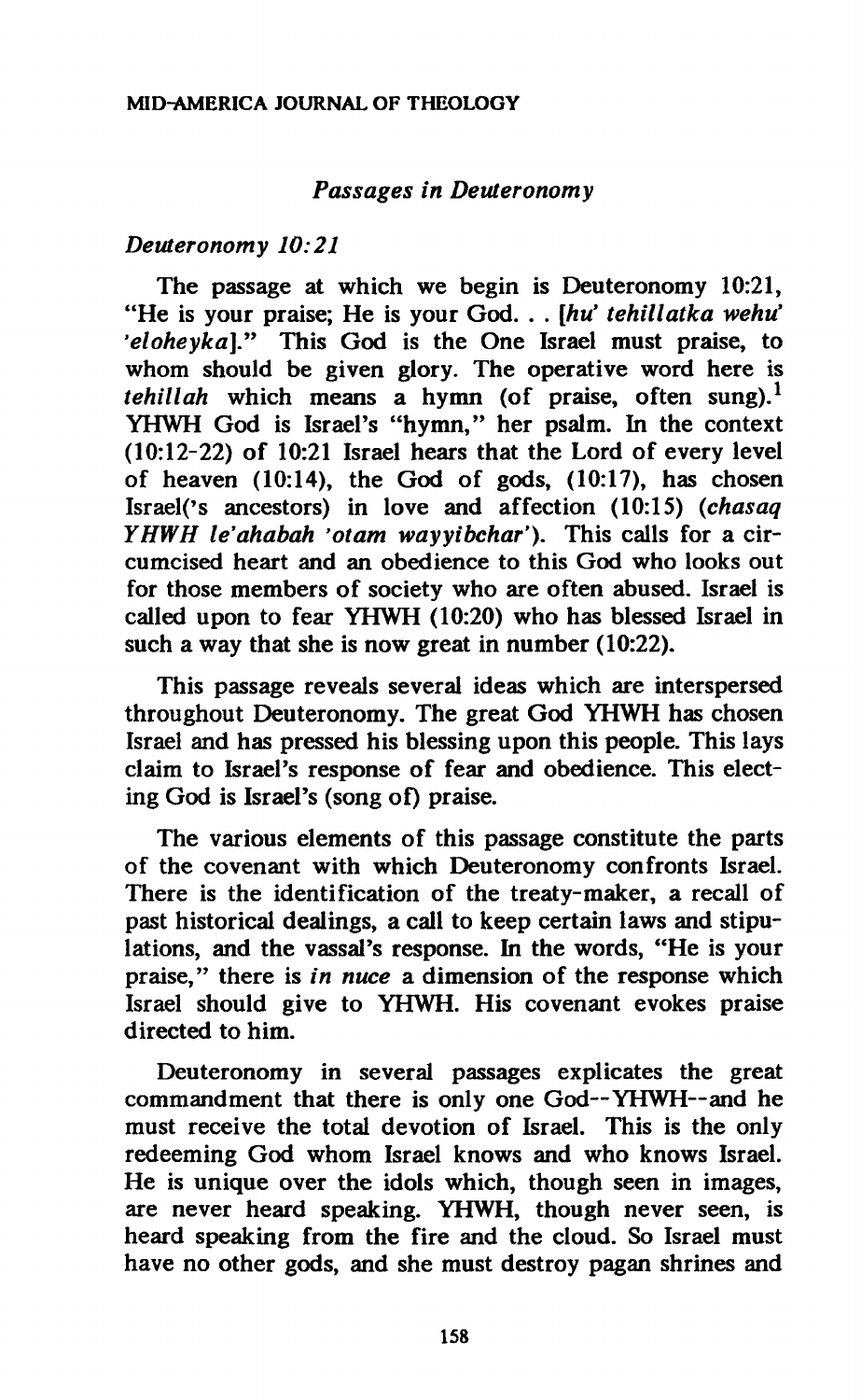## *Passages in Deuteronomy*

#### *Deuteronomy 10:21*

**The passage at which we begin is Deuteronomy 10:21, "He is your praise; He is your God. . .** *[hu' tehillatka wehu' 'eloheyka]."* **This God is the One Israel must praise, to whom should be given glory. The operative word here is**  *tehillah* **which means a hymn (of praise, often sung).<sup>1</sup> YHWH God is Israel's "hymn," her psalm. In the context (10:12-22) of 10:21 Israel hears that the Lord of every level of heaven (10:14), the God of gods, (10:17), has chosen Israel('s ancestors) in love and affection (10:15)** *{chasaq YHWH le'ahabah 'otam wayyibchar').* **This calls for a circumcised heart and an obedience to this God who looks out for those members of society who are often abused. Israel is called upon to fear YHWH (10:20) who has blessed Israel in such a way that she is now great in number (10:22).** 

**This passage reveals several ideas which are interspersed throughout Deuteronomy. The great God YHWH has chosen Israel and has pressed his blessing upon this people. This lays claim to Israel's response of fear and obedience. This electing God is Israel's (song of) praise.** 

**The various elements of this passage constitute the parts of the covenant with which Deuteronomy confronts Israel. There is the identification of the treaty-maker, a recall of past historical dealings, a call to keep certain laws and stipulations, and the vassal's response. In the words, "He is your praise," there is** *in nuce* **a dimension of the response which Israel should give to YHWH. His covenant evokes praise directed to him.** 

**Deuteronomy in several passages explicates the great**  commandment that there is only one God--YHWH--and he **must receive the total devotion of Israel. This is the only redeeming God whom Israel knows and who knows Israel. He is unique over the idols which, though seen in images, are never heard speaking. YHWH, though never seen, is heard speaking from the fire and the cloud. So Israel must have no other gods, and she must destroy pagan shrines and**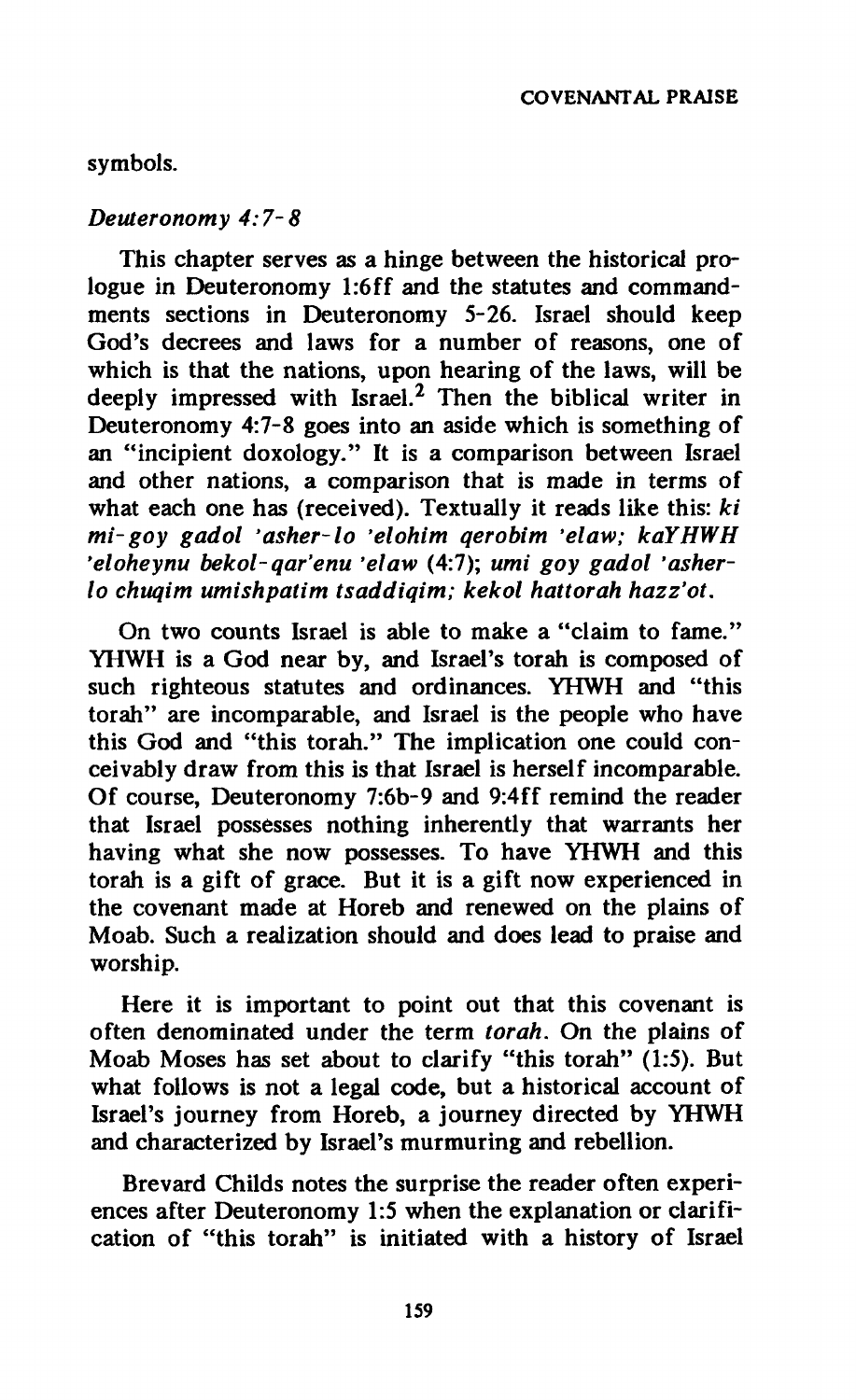# **symbols.**

#### *Deuteronomy 4:7-8*

**This chapter serves as a hinge between the historical prologue in Deuteronomy l:6ff and the statutes and commandments sections in Deuteronomy 5-26. Israel should keep God's decrees and laws for a number of reasons, one of which is that the nations, upon hearing of the laws, will be deeply impressed with Israel.<sup>2</sup> Then the biblical writer in Deuteronomy 4:7-8 goes into an aside which is something of an "incipient doxology." It is a comparison between Israel and other nations, a comparison that is made in terms of what each one has (received). Textually it reads like this:** *ki mi-goy gadol 'asher-lo 'elohim qerobim 'elaw; kaYHWH 'eloheynu bekol-qar'enu 'elaw* **(4:7);** *umi goy gadol 'asherlo chuqim umishpatim tsaddiqim; kekol hattorah hazz'ot.* 

**On two counts Israel is able to make a "claim to fame." YHWH is a God near by, and Israel's torah is composed of such righteous statutes and ordinances. YHWH and "this torah" are incomparable, and Israel is the people who have this God and "this torah." The implication one could conceivably draw from this is that Israel is herself incomparable. Of course, Deuteronomy 7:6b-9 and 9:4ff remind the reader that Israel possesses nothing inherently that warrants her having what she now possesses. To have YHWH and this torah is a gift of grace. But it is a gift now experienced in the covenant made at Horeb and renewed on the plains of Moab. Such a realization should and does lead to praise and worship.** 

**Here it is important to point out that this covenant is often denominated under the term** *torah.* **On the plains of Moab Moses has set about to clarify "this torah" (1:5). But what follows is not a legal code, but a historical account of Israel's journey from Horeb, a journey directed by YHWH and characterized by Israel's murmuring and rebellion.** 

**Brevard Childs notes the surprise the reader often experiences after Deuteronomy 1:5 when the explanation or clarification of "this torah" is initiated with a history of Israel**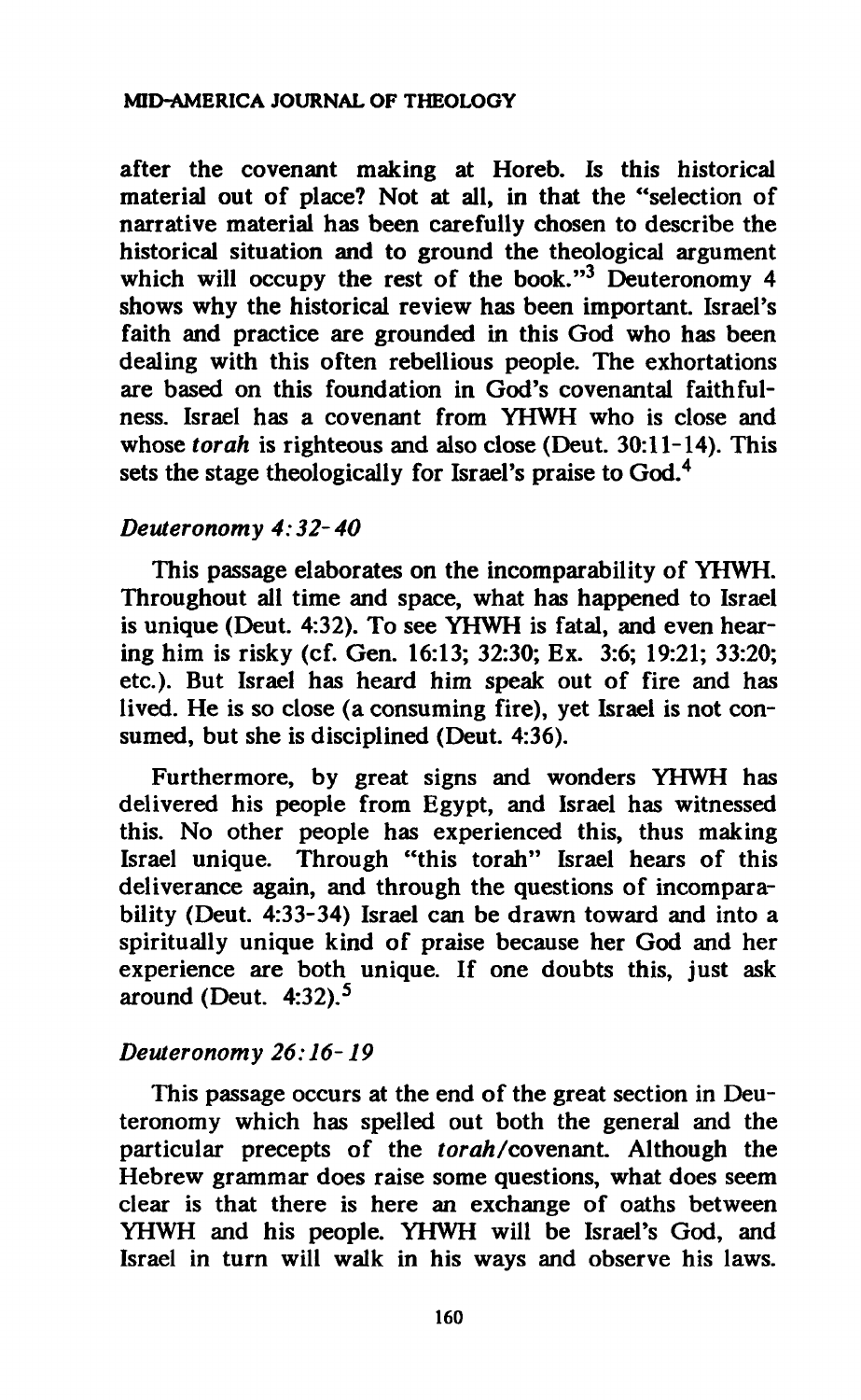#### **MID-AMERICA JOURNAL OF THEOLOGY**

**after the covenant making at Horeb. Is this historical material out of place? Not at all, in that the "selection of narrative material has been carefully chosen to describe the historical situation and to ground the theological argument which will occupy the rest of the book."<sup>3</sup> Deuteronomy 4 shows why the historical review has been important. Israel's faith and practice are grounded in this God who has been dealing with this often rebellious people. The exhortations are based on this foundation in God's covenantal faithfulness. Israel has a covenant from YHWH who is close and whose** *torah* **is righteous and also close (Deut. 30:11-14). This sets the stage theologically for Israel's praise to God.<sup>4</sup>**

## *Deuteronomy 4:32-40*

**This passage elaborates on the incomparability of YHWH. Throughout all time and space, what has happened to Israel is unique (Deut. 4:32). To see YHWH is fatal, and even hearing him is risky (cf. Gen. 16:13; 32:30; Ex. 3:6; 19:21; 33:20; etc.). But Israel has heard him speak out of fire and has lived. He is so close (a consuming fire), yet Israel is not consumed, but she is disciplined (Deut. 4:36).** 

**Furthermore, by great signs and wonders YHWH has delivered his people from Egypt, and Israel has witnessed this. No other people has experienced this, thus making Israel unique. Through "this torah" Israel hears of this deliverance again, and through the questions of incomparability (Deut. 4:33-34) Israel can be drawn toward and into a spiritually unique kind of praise because her God and her experience are both unique. If one doubts this, just ask around (Deut. 4:32).<sup>5</sup>**

# *Deuteronomy 26:16-19*

**This passage occurs at the end of the great section in Deuteronomy which has spelled out both the general and the**  particular precepts of the *torah*/covenant. Although the **Hebrew grammar does raise some questions, what does seem clear is that there is here an exchange of oaths between YHWH and his people. YHWH will be Israel's God, and Israel in turn will walk in his ways and observe his laws.**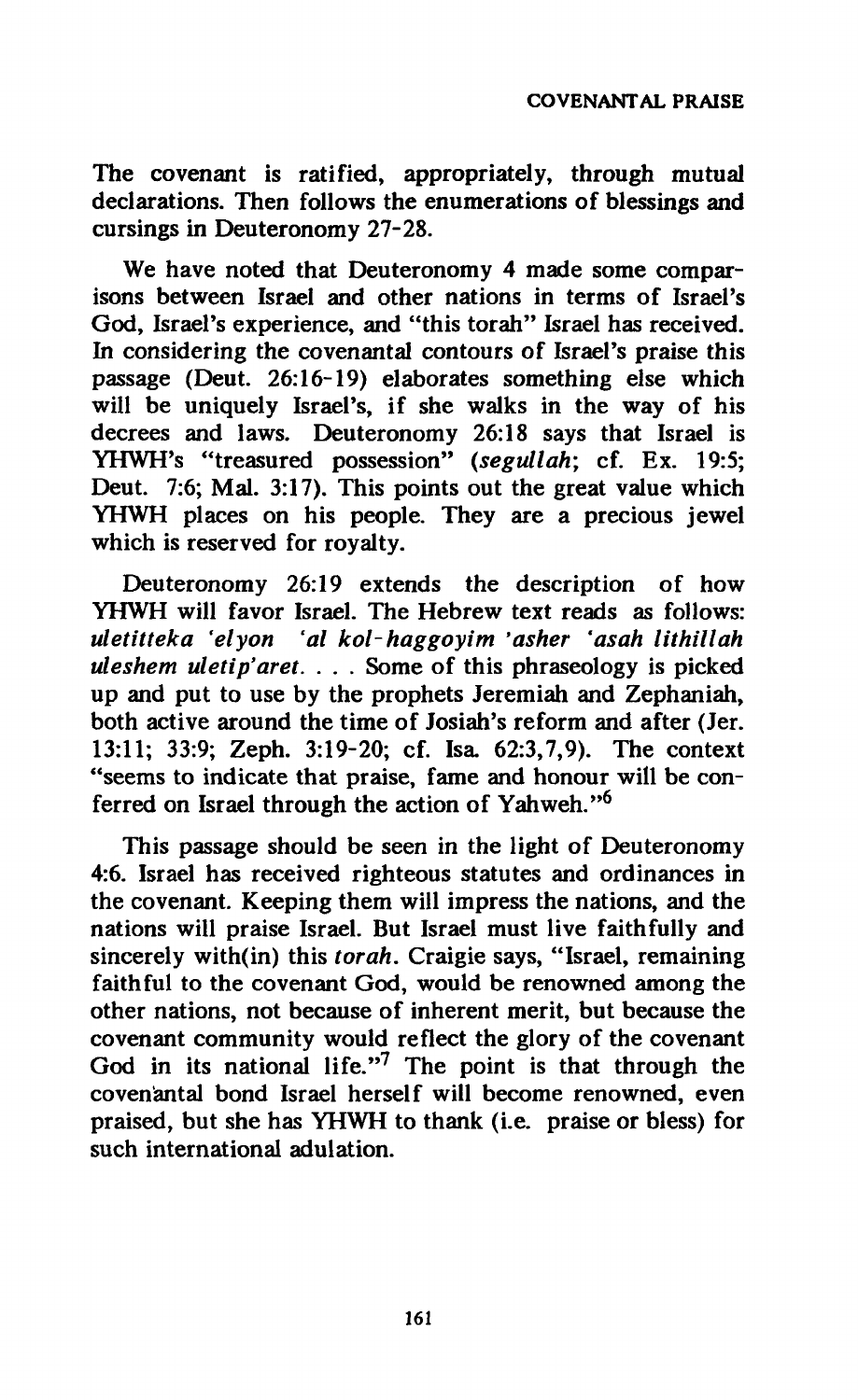**The covenant is ratified, appropriately, through mutual declarations. Then follows the enumerations of blessings and cursings in Deuteronomy 27-28.** 

**We have noted that Deuteronomy 4 made some comparisons between Israel and other nations in terms of Israel's God, Israel's experience, and "this torah" Israel has received. In considering the covenantal contours of Israel's praise this passage (Deut. 26:16-19) elaborates something else which will be uniquely Israel's, if she walks in the way of his decrees and laws. Deuteronomy 26:18 says that Israel is YHWH's "treasured possession"** *(segullah;* **cf. Ex. 19:5; Deut. 7:6; Mai. 3:17). This points out the great value which YHWH places on his people. They are a precious jewel which is reserved for royalty.** 

**Deuteronomy 26:19 extends the description of how YHWH will favor Israel. The Hebrew text reads as follows:**  *uletitteka 'elyon 'al kolhaggoyim 'asher 'asah lithillah uleshem uletip'aret.* **. . . Some of this phraseology is picked up and put to use by the prophets Jeremiah and Zephaniah, both active around the time of Josiah's reform and after (Jer. 13:11; 33:9; Zeph. 3:19-20; cf. Isa. 62:3,7,9). The context "seems to indicate that praise, fame and honour will be conferred on Israel through the action of Yahweh."<sup>6</sup>**

**This passage should be seen in the light of Deuteronomy 4:6. Israel has received righteous statutes and ordinances in the covenant. Keeping them will impress the nations, and the nations will praise Israel. But Israel must live faithfully and sincerely with(in) this** *torah.* **Craigie says, "Israel, remaining faithful to the covenant God, would be renowned among the other nations, not because of inherent merit, but because the covenant community would reflect the glory of the covenant God in its national life."<sup>7</sup> The point is that through the covenantal bond Israel herself will become renowned, even praised, but she has YHWH to thank (i.e. praise or bless) for such international adulation.**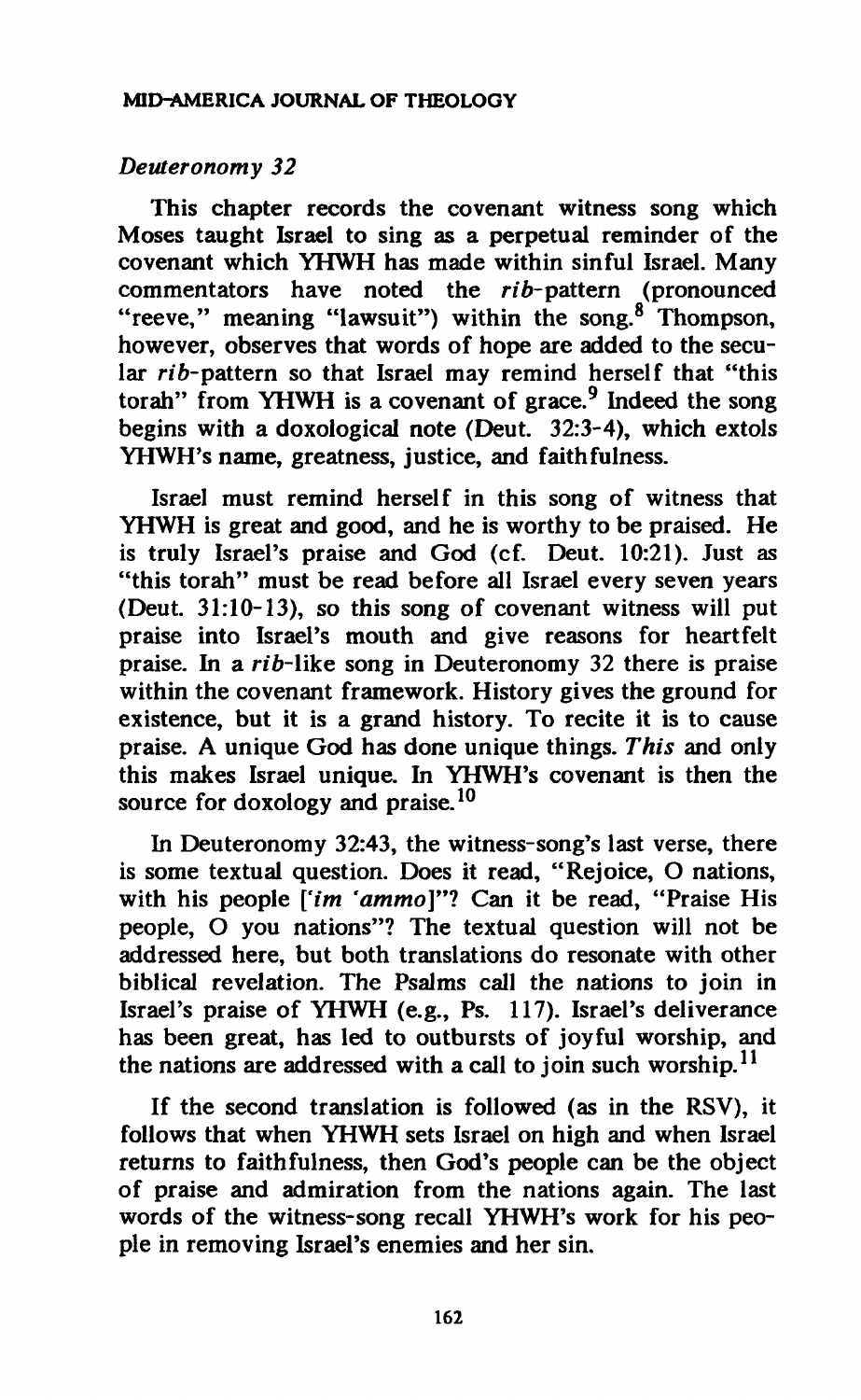# *Deuteronomy 32*

**This chapter records the covenant witness song which Moses taught Israel to sing as a perpetual reminder of the covenant which YHWH has made within sinful Israel. Many**  commentators have noted the rib-pattern (pronounced **"reeve," meaning "lawsuit") within the song.<sup>8</sup> Thompson, however, observes that words of hope are added to the secular nò-pattern so that Israel may remind herself that "this torah" from YHWH is a covenant of grace.<sup>9</sup> Indeed the song begins with a doxological note (Deut. 32:3-4), which extols YHWH's name, greatness, justice, and faithfulness.** 

**Israel must remind herself in this song of witness that YHWH is great and good, and he is worthy to be praised. He is truly Israel's praise and God (cf. Deut. 10:21). Just as "this torah" must be read before all Israel every seven years (Deut. 31:10-13), so this song of covenant witness will put praise into Israel's mouth and give reasons for heartfelt praise.** In a *rib*-like song in Deuteronomy 32 there is praise **within the covenant framework. History gives the ground for existence, but it is a grand history. To recite it is to cause praise. A unique God has done unique things.** *This* **and only this makes Israel unique. In YHWH's covenant is then the source for doxology and praise.<sup>10</sup>**

**In Deuteronomy 32:43, the witness-song's last verse, there is some textual question. Does it read, "Rejoice, O nations,**  with his people ['im 'ammo]"? Can it be read, "Praise His **people, O you nations"? The textual question will not be addressed here, but both translations do resonate with other biblical revelation. The Psalms call the nations to join in Israel's praise of YHWH (e.g., Ps. 117). Israel's deliverance has been great, has led to outbursts of joyful worship, and the nations are addressed with a call to join such worship.<sup>11</sup>**

**If the second translation is followed (as in the RSV), it follows that when YHWH sets Israel on high and when Israel returns to faithfulness, then God's people can be the object of praise and admiration from the nations again. The last words of the witness-song recall YHWH's work for his people in removing Israel's enemies and her sin.**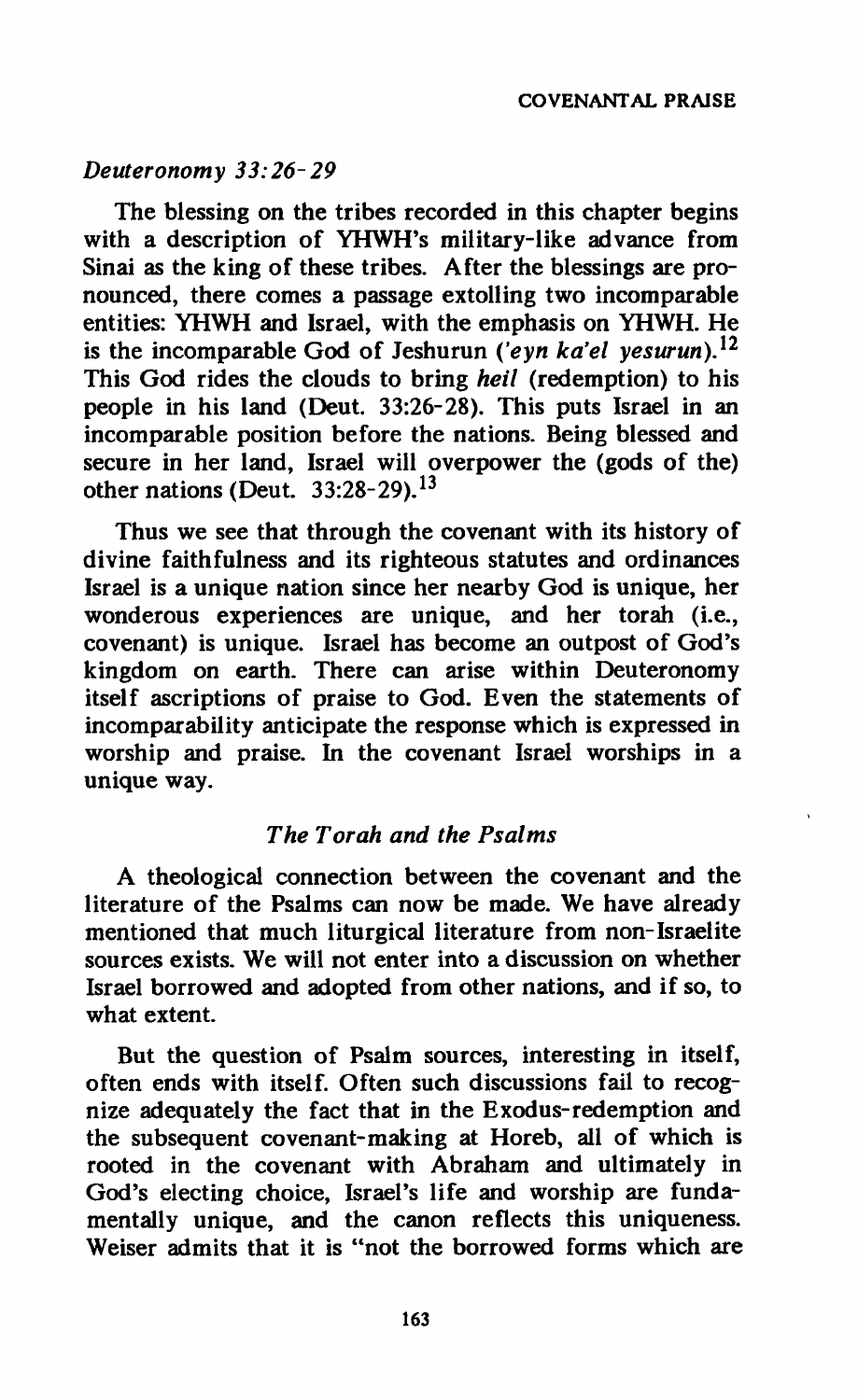# *Deuteronomy 33:26-29*

**The blessing on the tribes recorded in this chapter begins with a description of YHWH's military-like advance from Sinai as the king of these tribes. After the blessings are pronounced, there comes a passage extolling two incomparable entities: YHWH and Israel, with the emphasis on YHWH. He is the incomparable God of Jeshurun** *('eyn ka'el yesurun)}<sup>1</sup>* **This God rides the clouds to bring** *heil* **(redemption) to his people in his land (Deut. 33:26-28). This puts Israel in an incomparable position before the nations. Being blessed and secure in her land, Israel will overpower the (gods of the) other nations (Deut. 33:28-29).<sup>13</sup>**

**Thus we see that through the covenant with its history of divine faithfulness and its righteous statutes and ordinances Israel is a unique nation since her nearby God is unique, her wonderous experiences are unique, and her torah (i.e., covenant) is unique. Israel has become an outpost of God's kingdom on earth. There can arise within Deuteronomy itself ascriptions of praise to God. Even the statements of incomparability anticipate the response which is expressed in worship and praise. In the covenant Israel worships in a unique way.** 

# *The Torah and the Psalms*

**A theological connection between the covenant and the literature of the Psalms can now be made. We have already mentioned that much liturgical literature from non-Israelite sources exists. We will not enter into a discussion on whether Israel borrowed and adopted from other nations, and if so, to what extent.** 

**But the question of Psalm sources, interesting in itself, often ends with itself. Often such discussions fail to recognize adequately the fact that in the Exodus-redemption and the subsequent covenant-making at Horeb, all of which is rooted in the covenant with Abraham and ultimately in God's electing choice, Israel's life and worship are fundamentally unique, and the canon reflects this uniqueness. Weiser admits that it is "not the borrowed forms which are**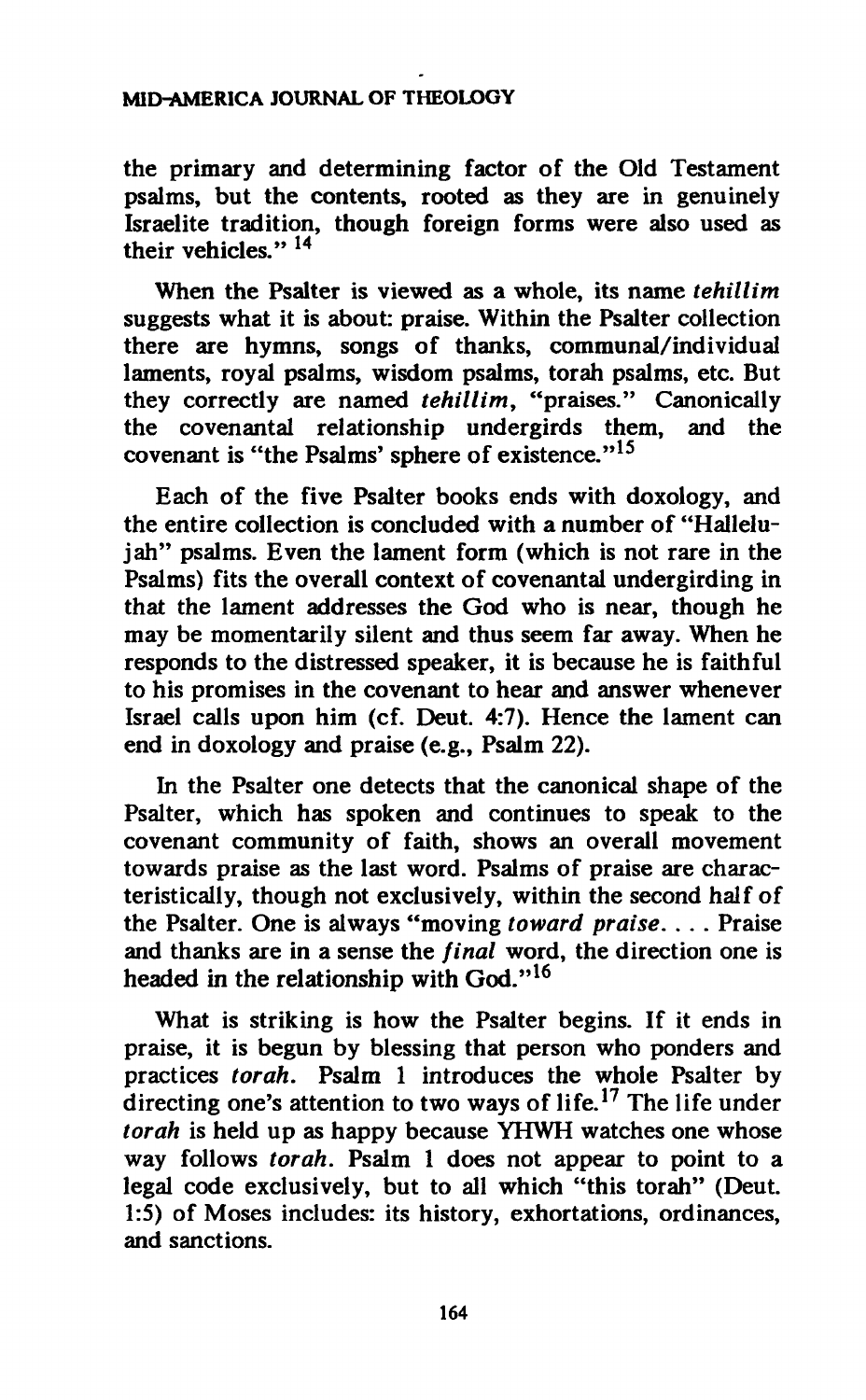#### **MID-AMERICA JOURNAL OF THEOLOGY**

**the primary and determining factor of the Old Testament psalms, but the contents, rooted as they are in genuinely Israelite tradition, though foreign forms were also used as their vehicles." 14** 

**When the Psalter is viewed as a whole, its name** *tehillim*  **suggests what it is about: praise. Within the Psalter collection there are hymns, songs of thanks, communal/individual laments, royal psalms, wisdom psalms, torah psalms, etc. But they correctly are named** *tehillim,* **"praises." Canonically the covenantal relationship undergirds them, and the covenant is "the Psalms' sphere of existence."<sup>15</sup>**

**Each of the five Psalter books ends with doxology, and the entire collection is concluded with a number of "Hallelujah" psalms. Even the lament form (which is not rare in the**  Psalms) fits the overall context of covenantal undergirding in **that the lament addresses the God who is near, though he may be momentarily silent and thus seem far away. When he responds to the distressed speaker, it is because he is faithful to his promises in the covenant to hear and answer whenever Israel calls upon him (cf. Deut. 4:7). Hence the lament can end in doxology and praise (e.g., Psalm 22).** 

**In the Psalter one detects that the canonical shape of the Psalter, which has spoken and continues to speak to the covenant community of faith, shows an overall movement towards praise as the last word. Psalms of praise are characteristically, though not exclusively, within the second half of the Psalter. One is always "moving** *toward praise.* **. . . Praise and thanks are in a sense the** *final* **word, the direction one is headed in the relationship with God."<sup>16</sup>**

**What is striking is how the Psalter begins. If it ends in praise, it is begun by blessing that person who ponders and practices** *torah.* **Psalm 1 introduces the whole Psalter by directing one's attention to two ways of life.<sup>17</sup> The life under**  *torah* **is held up as happy because YHWH watches one whose way follows** *torah.* **Psalm 1 does not appear to point to a legal code exclusively, but to all which "this torah" (Deut. 1:5) of Moses includes: its history, exhortations, ordinances, and sanctions.**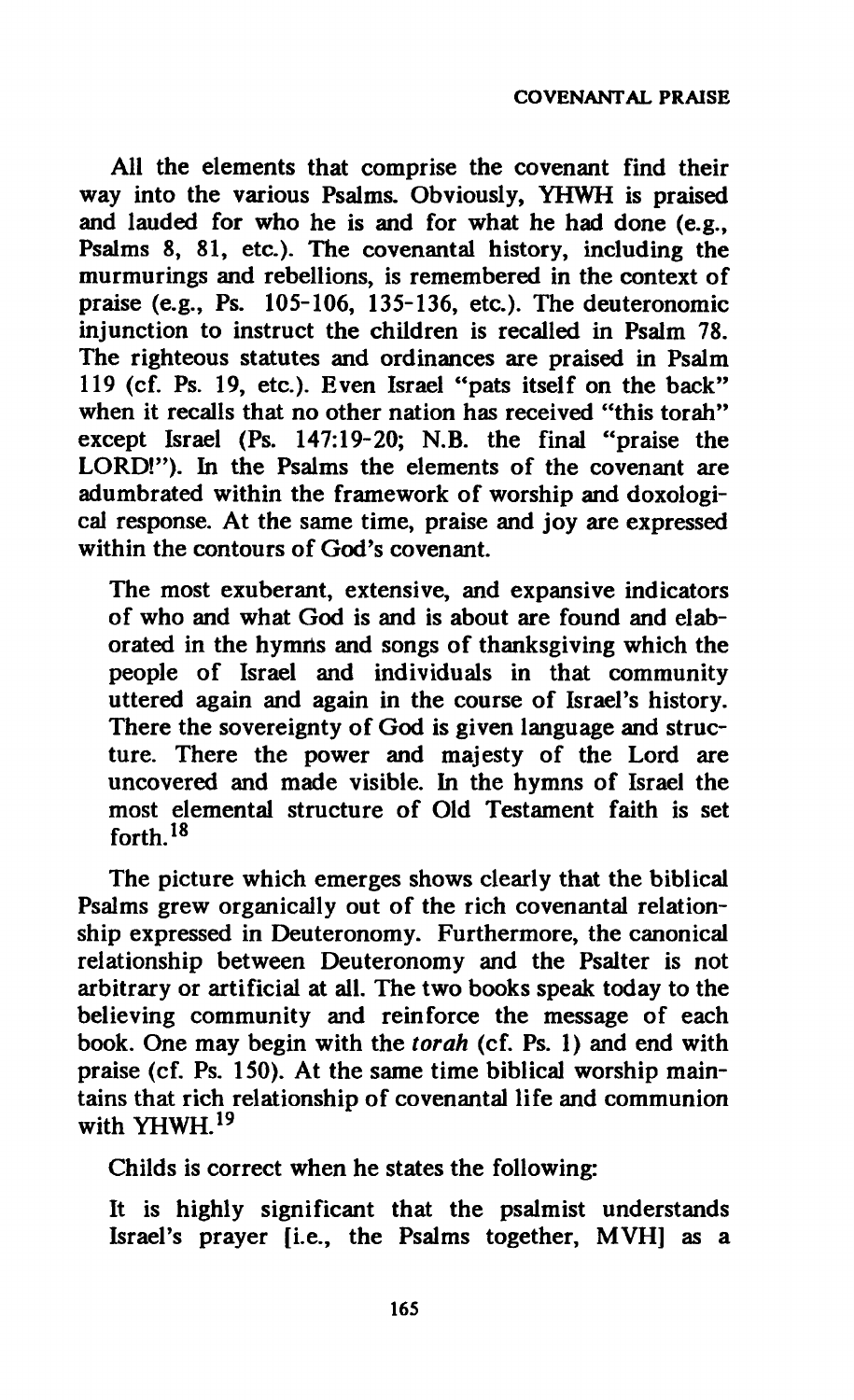**All the elements that comprise the covenant find their way into the various Psalms. Obviously, YHWH is praised and lauded for who he is and for what he had done (e.g., Psalms 8, 81, etc.). The covenantal history, including the murmurings and rebellions, is remembered in the context of praise (e.g., Ps. 105-106, 135-136, etc.). The deuteronomic injunction to instruct the children is recalled in Psalm 78. The righteous statutes and ordinances are praised in Psalm 119 (cf. Ps. 19, etc.). Even Israel "pats itself on the back" when it recalls that no other nation has received "this torah" except Israel (Ps. 147:19-20; N.B. the final "praise the LORD!"). In the Psalms the elements of the covenant are adumbrated within the framework of worship and doxological response. At the same time, praise and joy are expressed within the contours of God's covenant.** 

**The most exuberant, extensive, and expansive indicators of who and what God is and is about are found and elab**orated in the hymns and songs of thanksgiving which the **people of Israel and individuals in that community uttered again and again in the course of Israel's history. There the sovereignty of God is given language and structure. There the power and majesty of the Lord are uncovered and made visible. In the hymns of Israel the most elemental structure of Old Testament faith is set forth.<sup>18</sup>**

**The picture which emerges shows clearly that the biblical Psalms grew organically out of the rich covenantal relationship expressed in Deuteronomy. Furthermore, the canonical relationship between Deuteronomy and the Psalter is not arbitrary or artificial at all. The two books speak today to the believing community and reinforce the message of each book. One may begin with the** *torah* **(cf. Ps. 1) and end with praise (cf. Ps. 150). At the same time biblical worship maintains that rich relationship of covenantal life and communion with YHWH.<sup>19</sup>**

**Childs is correct when he states the following:** 

**It is highly significant that the psalmist understands Israel's prayer [i.e., the Psalms together, MVH] as a**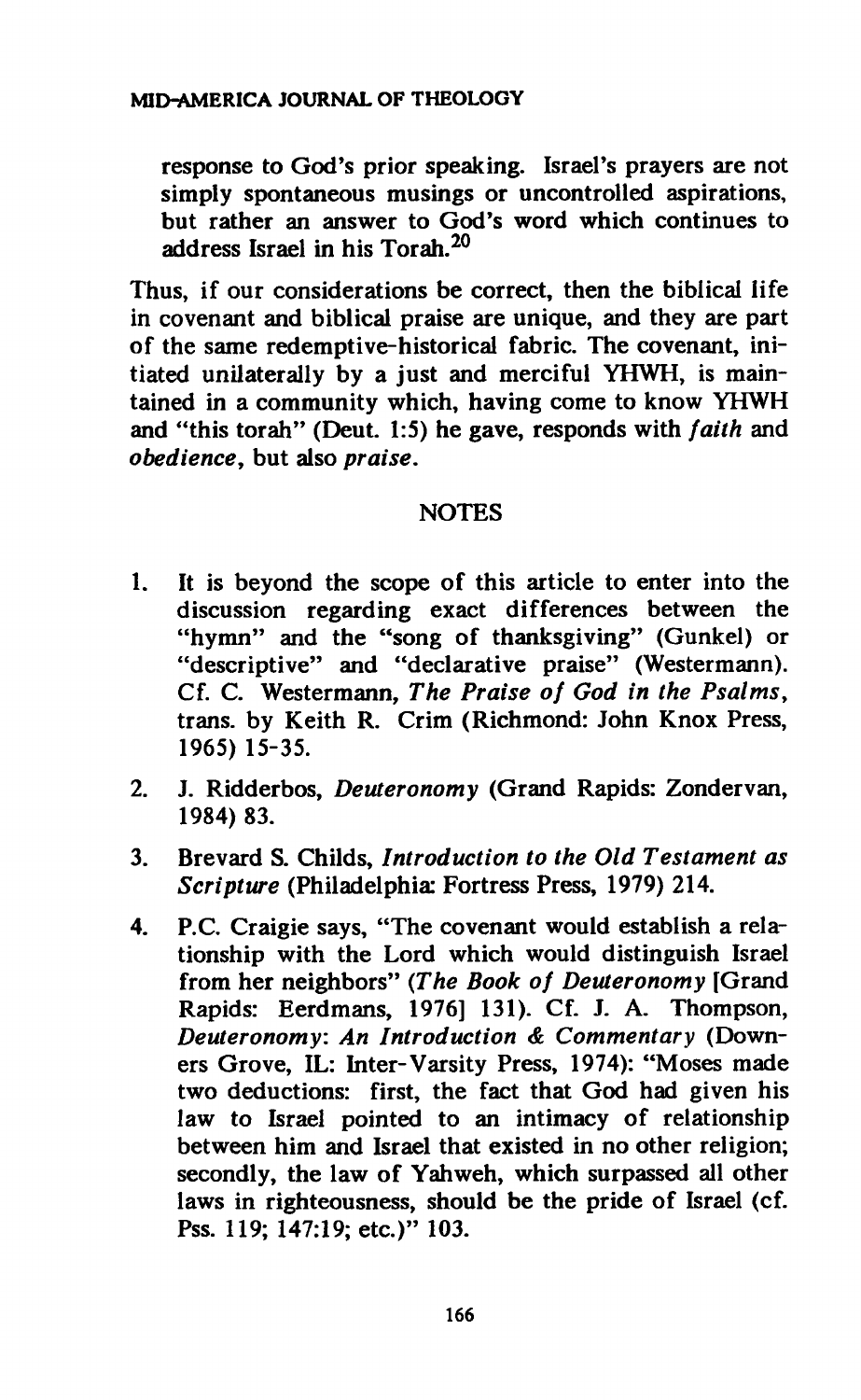**response to God's prior speaking. Israel's prayers are not simply spontaneous musings or uncontrolled aspirations, but rather an answer to God's word which continues to address Israel in his Torah.<sup>20</sup>**

**Thus, if our considerations be correct, then the biblical life in covenant and biblical praise are unique, and they are part of the same redemptive-historical fabric. The covenant, initiated unilaterally by a just and merciful YHWH, is maintained in a community which, having come to know YHWH and "this torah" (Deut. 1:5) he gave, responds with** *faith* **and**  *obediencey* **but also** *praise.* 

# **NOTES**

- **1. It is beyond the scope of this article to enter into the discussion regarding exact differences between the "hymn" and the "song of thanksgiving" (Gunkel) or "descriptive" and "declarative praise" (Westermann). Cf. C. Westermann,** *The Praise of God in the Psalms,*  **trans, by Keith R. Crim (Richmond: John Knox Press, 1965) 15-35.**
- **2. J. Ridderbos,** *Deuteronomy* **(Grand Rapids: Zondervan, 1984) 83.**
- **3. Brevard S. Childs,** *Introduction to the Old Testament as Scripture* **(Philadelphia: Fortress Press, 1979) 214.**
- **4. P.C. Craigie says, "The covenant would establish a relationship with the Lord which would distinguish Israel from her neighbors"** *(The Book of Deuteronomy* **[Grand Rapids: Eerdmans, 1976] 131). Cf. J. A. Thompson,**  *Deuteronomy: An Introduction & Commentary* **(Downers Grove, IL: Inter-Varsity Press, 1974): "Moses made two deductions: first, the fact that God had given his law to Israel pointed to an intimacy of relationship between him and Israel that existed in no other religion; secondly, the law of Yahweh, which surpassed all other laws in righteousness, should be the pride of Israel (cf. Pss. 119; 147:19; etc.)" 103.**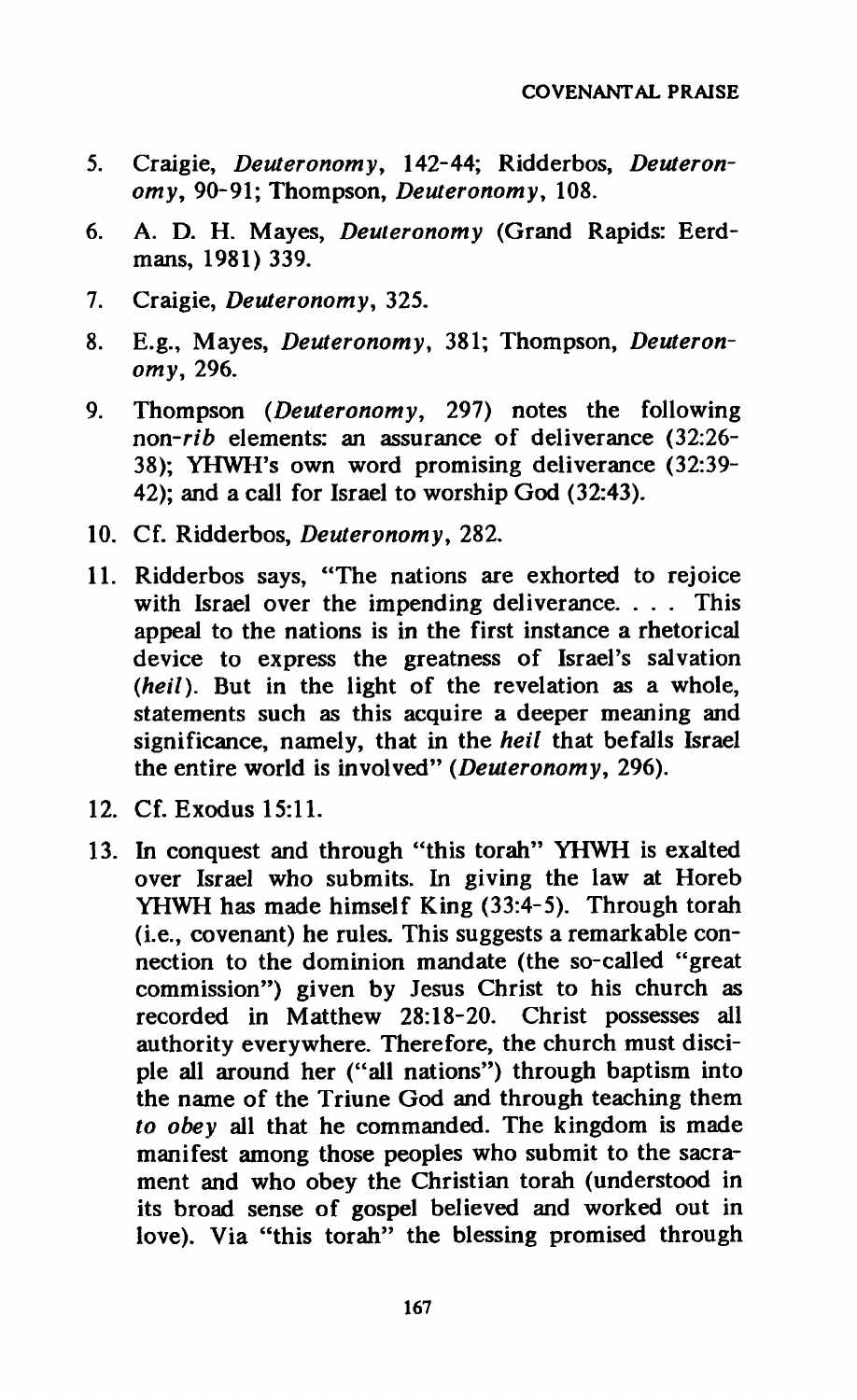- **5. Craigie,** *Deuteronomy,* **142-44; Ridderbos,** *Deuteronomy,* **90-91; Thompson,** *Deuteronomy,* **108.**
- **6. A. D. H. Mayes,** *Deuteronomy* **(Grand Rapids: Eerdmans, 1981) 339.**
- **7. Craigie,** *Deuteronomy,* **325.**
- **8. E.g., Mayes,** *Deuteronomy,* **381; Thompson,** *Deuteronomy,* **296.**
- **9. Thompson** *(Deuteronomy,* **297) notes the following**  *non-rib* **elements: an assurance of deliverance (32:26- 38); YHWH's own word promising deliverance (32:39- 42); and a call for Israel to worship God (32:43).**
- **10. Cf. Ridderbos,** *Deuteronomy,* **282.**
- **11. Ridderbos says, "The nations are exhorted to rejoice with Israel over the impending deliverance. . . . This appeal to the nations is in the first instance a rhetorical device to express the greatness of Israel's salvation**  *(heil).* **But in the light of the revelation as a whole, statements such as this acquire a deeper meaning and significance, namely, that in the** *heil* **that befalls Israel the entire world is involved"** *(Deuteronomy,* **296).**
- **12. Cf. Exodus 15:11.**
- **13. In conquest and through "this torah" YHWH is exalted over Israel who submits. In giving the law at Horeb YHWH has made himself King (33:4-5). Through torah (i.e., covenant) he rules. This suggests a remarkable connection to the dominion mandate (the so-called "great commission") given by Jesus Christ to his church as recorded in Matthew 28:18-20. Christ possesses all authority everywhere. Therefore, the church must disciple all around her ("all nations") through baptism into the name of the Triune God and through teaching them**  *to obey* **all that he commanded. The kingdom is made manifest among those peoples who submit to the sacrament and who obey the Christian torah (understood in its broad sense of gospel believed and worked out in love). Via "this torah" the blessing promised through**